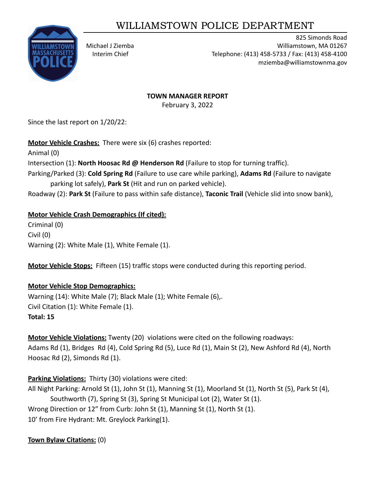# WILLIAMSTOWN POLICE DEPARTMENT



825 Simonds Road Michael J Ziemba Williamstown, MA 01267 Interim Chief Telephone: (413) 458-5733 / Fax: (413) 458-4100 mziemba@williamstownma.gov

#### **TOWN MANAGER REPORT**

February 3, 2022

Since the last report on 1/20/22:

**Motor Vehicle Crashes:** There were six (6) crashes reported:

Animal (0)

Intersection (1): **North Hoosac Rd @ Henderson Rd** (Failure to stop for turning traffic).

Parking/Parked (3): **Cold Spring Rd** (Failure to use care while parking), **Adams Rd** (Failure to navigate parking lot safely), **Park St** (Hit and run on parked vehicle).

Roadway (2): **Park St** (Failure to pass within safe distance), **Taconic Trail** (Vehicle slid into snow bank),

# **Motor Vehicle Crash Demographics (If cited):**

Criminal (0) Civil (0) Warning (2): White Male (1), White Female (1).

**Motor Vehicle Stops:** Fifteen (15) traffic stops were conducted during this reporting period.

# **Motor Vehicle Stop Demographics:**

Warning (14): White Male (7); Black Male (1); White Female (6),. Civil Citation (1): White Female (1). **Total: 15**

**Motor Vehicle Violations:** Twenty (20) violations were cited on the following roadways: Adams Rd (1), Bridges Rd (4), Cold Spring Rd (5), Luce Rd (1), Main St (2), New Ashford Rd (4), North Hoosac Rd (2), Simonds Rd (1).

**Parking Violations:** Thirty (30) violations were cited:

All Night Parking: Arnold St (1), John St (1), Manning St (1), Moorland St (1), North St (5), Park St (4), Southworth (7), Spring St (3), Spring St Municipal Lot (2), Water St (1). Wrong Direction or 12" from Curb: John St (1), Manning St (1), North St (1). 10' from Fire Hydrant: Mt. Greylock Parking(1).

# **Town Bylaw Citations:** (0)